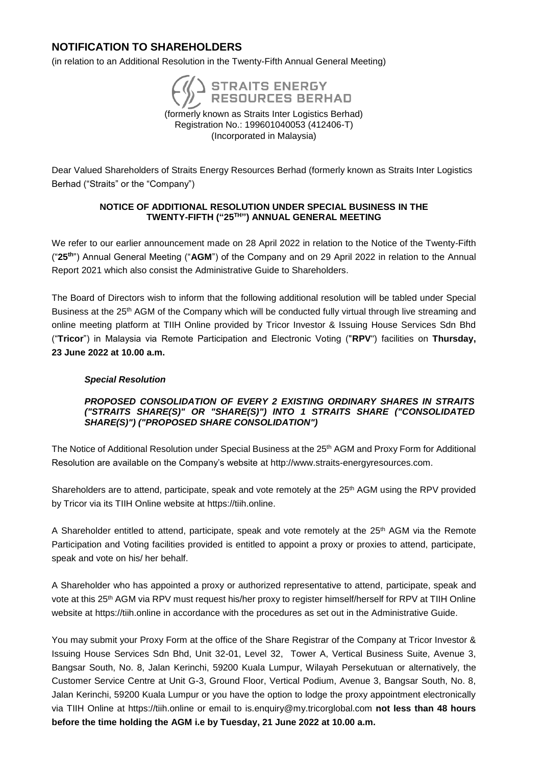# **NOTIFICATION TO SHAREHOLDERS**

(in relation to an Additional Resolution in the Twenty-Fifth Annual General Meeting)



(formerly known as Straits Inter Logistics Berhad) Registration No.: 199601040053 (412406-T) (Incorporated in Malaysia)

Dear Valued Shareholders of Straits Energy Resources Berhad (formerly known as Straits Inter Logistics Berhad ("Straits" or the "Company")

### **NOTICE OF ADDITIONAL RESOLUTION UNDER SPECIAL BUSINESS IN THE TWENTY-FIFTH ("25 TH") ANNUAL GENERAL MEETING**

We refer to our earlier announcement made on 28 April 2022 in relation to the Notice of the Twenty-Fifth ("**25th** ") Annual General Meeting ("**AGM**") of the Company and on 29 April 2022 in relation to the Annual Report 2021 which also consist the Administrative Guide to Shareholders.

The Board of Directors wish to inform that the following additional resolution will be tabled under Special Business at the 25<sup>th</sup> AGM of the Company which will be conducted fully virtual through live streaming and online meeting platform at TIIH Online provided by Tricor Investor & Issuing House Services Sdn Bhd ("**Tricor**") in Malaysia via Remote Participation and Electronic Voting ("**RPV**") facilities on **Thursday, 23 June 2022 at 10.00 a.m.**

# *Special Resolution*

#### *PROPOSED CONSOLIDATION OF EVERY 2 EXISTING ORDINARY SHARES IN STRAITS ("STRAITS SHARE(S)" OR "SHARE(S)") INTO 1 STRAITS SHARE ("CONSOLIDATED SHARE(S)") ("PROPOSED SHARE CONSOLIDATION")*

The Notice of Additional Resolution under Special Business at the 25<sup>th</sup> AGM and Proxy Form for Additional Resolution are available on the Company's website at http://www.straits-energyresources.com.

Shareholders are to attend, participate, speak and vote remotely at the 25<sup>th</sup> AGM using the RPV provided by Tricor via its TIIH Online website at [https://tiih.online.](https://tiih.online/)

A Shareholder entitled to attend, participate, speak and vote remotely at the 25th AGM via the Remote Participation and Voting facilities provided is entitled to appoint a proxy or proxies to attend, participate, speak and vote on his/ her behalf.

A Shareholder who has appointed a proxy or authorized representative to attend, participate, speak and vote at this 25th AGM via RPV must request his/her proxy to register himself/herself for RPV at TIIH Online website at [https://tiih.online](https://tiih.online/) in accordance with the procedures as set out in the Administrative Guide.

You may submit your Proxy Form at the office of the Share Registrar of the Company at Tricor Investor & Issuing House Services Sdn Bhd, Unit 32-01, Level 32, Tower A, Vertical Business Suite, Avenue 3, Bangsar South, No. 8, Jalan Kerinchi, 59200 Kuala Lumpur, Wilayah Persekutuan or alternatively, the Customer Service Centre at Unit G-3, Ground Floor, Vertical Podium, Avenue 3, Bangsar South, No. 8, Jalan Kerinchi, 59200 Kuala Lumpur or you have the option to lodge the proxy appointment electronically via TIIH Online at [https://tiih.online](https://tiih.online/) or email to [is.enquiry@my.tricorglobal.com](mailto:is.enquiry@my.tricorglobal.com) **not less than 48 hours before the time holding the AGM i.e by Tuesday, 21 June 2022 at 10.00 a.m.**